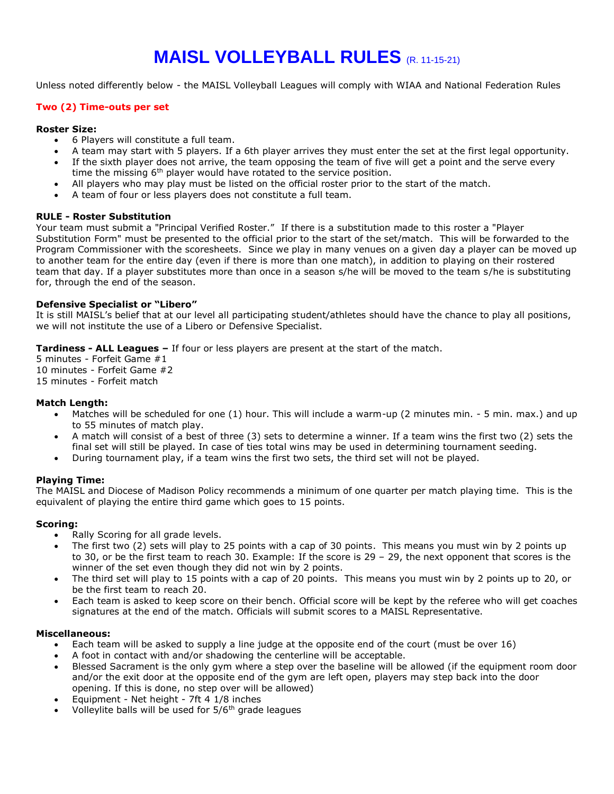# **MAISL VOLLEYBALL RULES** (R. 11-15-21)

Unless noted differently below - the MAISL Volleyball Leagues will comply with WIAA and National Federation Rules

## **Two (2) Time-outs per set**

#### **Roster Size:**

- 6 Players will constitute a full team.
- A team may start with 5 players. If a 6th player arrives they must enter the set at the first legal opportunity.
- If the sixth player does not arrive, the team opposing the team of five will get a point and the serve every time the missing  $6<sup>th</sup>$  player would have rotated to the service position.
- All players who may play must be listed on the official roster prior to the start of the match.
- A team of four or less players does not constitute a full team.

#### **RULE - Roster Substitution**

Your team must submit a "Principal Verified Roster." If there is a substitution made to this roster a "Player Substitution Form" must be presented to the official prior to the start of the set/match. This will be forwarded to the Program Commissioner with the scoresheets. Since we play in many venues on a given day a player can be moved up to another team for the entire day (even if there is more than one match), in addition to playing on their rostered team that day. If a player substitutes more than once in a season s/he will be moved to the team s/he is substituting for, through the end of the season.

#### **Defensive Specialist or "Libero"**

It is still MAISL's belief that at our level all participating student/athletes should have the chance to play all positions, we will not institute the use of a Libero or Defensive Specialist.

**Tardiness - ALL Leagues –** If four or less players are present at the start of the match.

5 minutes - Forfeit Game #1 10 minutes - Forfeit Game #2 15 minutes - Forfeit match

## **Match Length:**

- Matches will be scheduled for one (1) hour. This will include a warm-up (2 minutes min. 5 min. max.) and up to 55 minutes of match play.
- A match will consist of a best of three (3) sets to determine a winner. If a team wins the first two (2) sets the final set will still be played. In case of ties total wins may be used in determining tournament seeding.
- During tournament play, if a team wins the first two sets, the third set will not be played.

# **Playing Time:**

The MAISL and Diocese of Madison Policy recommends a minimum of one quarter per match playing time. This is the equivalent of playing the entire third game which goes to 15 points.

# **Scoring:**

- Rally Scoring for all grade levels.
- The first two (2) sets will play to 25 points with a cap of 30 points. This means you must win by 2 points up to 30, or be the first team to reach 30. Example: If the score is 29 – 29, the next opponent that scores is the winner of the set even though they did not win by 2 points.
- The third set will play to 15 points with a cap of 20 points. This means you must win by 2 points up to 20, or be the first team to reach 20.
- Each team is asked to keep score on their bench. Official score will be kept by the referee who will get coaches signatures at the end of the match. Officials will submit scores to a MAISL Representative.

#### **Miscellaneous:**

- Each team will be asked to supply a line judge at the opposite end of the court (must be over 16)
- A foot in contact with and/or shadowing the centerline will be acceptable.
- Blessed Sacrament is the only gym where a step over the baseline will be allowed (if the equipment room door and/or the exit door at the opposite end of the gym are left open, players may step back into the door opening. If this is done, no step over will be allowed)
- Equipment Net height 7ft 4 1/8 inches
- Volleylite balls will be used for 5/6<sup>th</sup> grade leagues